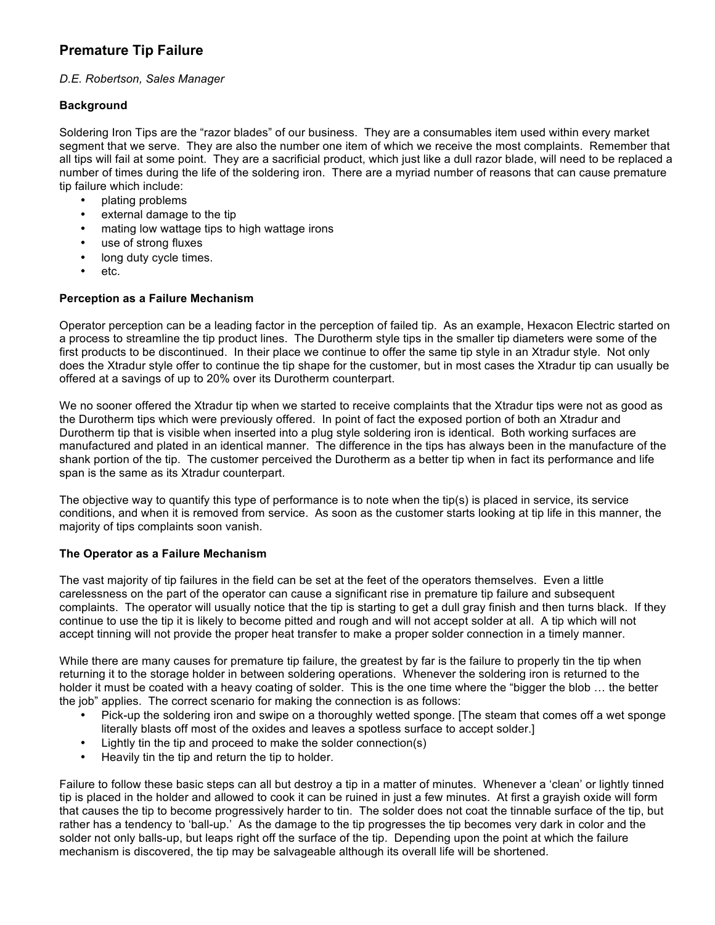# **Premature Tip Failure**

## *D.E. Robertson, Sales Manager*

## **Background**

Soldering Iron Tips are the "razor blades" of our business. They are a consumables item used within every market segment that we serve. They are also the number one item of which we receive the most complaints. Remember that all tips will fail at some point. They are a sacrificial product, which just like a dull razor blade, will need to be replaced a number of times during the life of the soldering iron. There are a myriad number of reasons that can cause premature tip failure which include:

- plating problems
- external damage to the tip
- mating low wattage tips to high wattage irons
- use of strong fluxes
- long duty cycle times.
- etc.

#### **Perception as a Failure Mechanism**

Operator perception can be a leading factor in the perception of failed tip. As an example, Hexacon Electric started on a process to streamline the tip product lines. The Durotherm style tips in the smaller tip diameters were some of the first products to be discontinued. In their place we continue to offer the same tip style in an Xtradur style. Not only does the Xtradur style offer to continue the tip shape for the customer, but in most cases the Xtradur tip can usually be offered at a savings of up to 20% over its Durotherm counterpart.

We no sooner offered the Xtradur tip when we started to receive complaints that the Xtradur tips were not as good as the Durotherm tips which were previously offered. In point of fact the exposed portion of both an Xtradur and Durotherm tip that is visible when inserted into a plug style soldering iron is identical. Both working surfaces are manufactured and plated in an identical manner. The difference in the tips has always been in the manufacture of the shank portion of the tip. The customer perceived the Durotherm as a better tip when in fact its performance and life span is the same as its Xtradur counterpart.

The objective way to quantify this type of performance is to note when the tip(s) is placed in service, its service conditions, and when it is removed from service. As soon as the customer starts looking at tip life in this manner, the majority of tips complaints soon vanish.

## **The Operator as a Failure Mechanism**

The vast majority of tip failures in the field can be set at the feet of the operators themselves. Even a little carelessness on the part of the operator can cause a significant rise in premature tip failure and subsequent complaints. The operator will usually notice that the tip is starting to get a dull gray finish and then turns black. If they continue to use the tip it is likely to become pitted and rough and will not accept solder at all. A tip which will not accept tinning will not provide the proper heat transfer to make a proper solder connection in a timely manner.

While there are many causes for premature tip failure, the greatest by far is the failure to properly tin the tip when returning it to the storage holder in between soldering operations. Whenever the soldering iron is returned to the holder it must be coated with a heavy coating of solder. This is the one time where the "bigger the blob … the better the job" applies. The correct scenario for making the connection is as follows:

- Pick-up the soldering iron and swipe on a thoroughly wetted sponge. [The steam that comes off a wet sponge literally blasts off most of the oxides and leaves a spotless surface to accept solder.]
- Lightly tin the tip and proceed to make the solder connection(s)  $\cdot$  Heavily tin the tip and return the tip to bolder
- Heavily tin the tip and return the tip to holder.

Failure to follow these basic steps can all but destroy a tip in a matter of minutes. Whenever a 'clean' or lightly tinned tip is placed in the holder and allowed to cook it can be ruined in just a few minutes. At first a grayish oxide will form that causes the tip to become progressively harder to tin. The solder does not coat the tinnable surface of the tip, but rather has a tendency to 'ball-up.' As the damage to the tip progresses the tip becomes very dark in color and the solder not only balls-up, but leaps right off the surface of the tip. Depending upon the point at which the failure mechanism is discovered, the tip may be salvageable although its overall life will be shortened.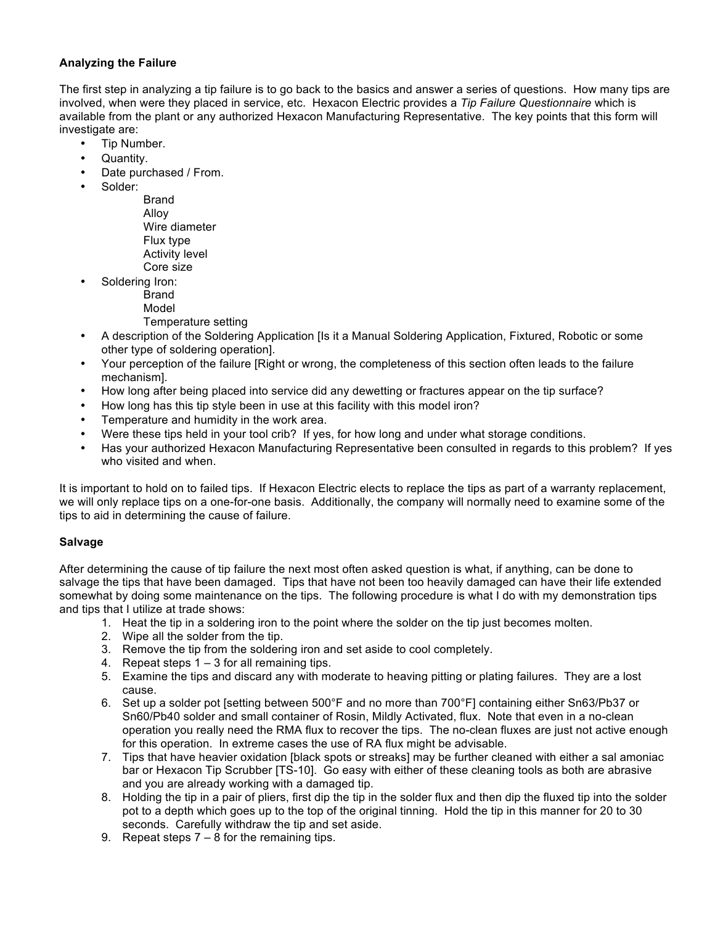## **Analyzing the Failure**

The first step in analyzing a tip failure is to go back to the basics and answer a series of questions. How many tips are involved, when were they placed in service, etc. Hexacon Electric provides a *Tip Failure Questionnaire* which is available from the plant or any authorized Hexacon Manufacturing Representative. The key points that this form will investigate are:

- Tip Number.
- Quantity.
- Date purchased / From.
- Solder:
	- Brand Alloy Wire diameter Flux type Activity level Core size
- Soldering Iron:
	- Brand
	- Model
	- Temperature setting
- A description of the Soldering Application [Is it a Manual Soldering Application, Fixtured, Robotic or some other type of soldering operation].
- Your perception of the failure [Right or wrong, the completeness of this section often leads to the failure mechanism].
- How long after being placed into service did any dewetting or fractures appear on the tip surface?
- How long has this tip style been in use at this facility with this model iron?
- Temperature and humidity in the work area.
- Were these tips held in your tool crib? If yes, for how long and under what storage conditions.
- Has your authorized Hexacon Manufacturing Representative been consulted in regards to this problem? If yes who visited and when.

It is important to hold on to failed tips. If Hexacon Electric elects to replace the tips as part of a warranty replacement, we will only replace tips on a one-for-one basis. Additionally, the company will normally need to examine some of the tips to aid in determining the cause of failure.

## **Salvage**

After determining the cause of tip failure the next most often asked question is what, if anything, can be done to salvage the tips that have been damaged. Tips that have not been too heavily damaged can have their life extended somewhat by doing some maintenance on the tips. The following procedure is what I do with my demonstration tips and tips that I utilize at trade shows:

- 1. Heat the tip in a soldering iron to the point where the solder on the tip just becomes molten.
- 2. Wipe all the solder from the tip.
- 3. Remove the tip from the soldering iron and set aside to cool completely.
- 4. Repeat steps 1 3 for all remaining tips.
- 5. Examine the tips and discard any with moderate to heaving pitting or plating failures. They are a lost cause.
- 6. Set up a solder pot [setting between 500°F and no more than 700°F] containing either Sn63/Pb37 or Sn60/Pb40 solder and small container of Rosin, Mildly Activated, flux. Note that even in a no-clean operation you really need the RMA flux to recover the tips. The no-clean fluxes are just not active enough for this operation. In extreme cases the use of RA flux might be advisable.
- 7. Tips that have heavier oxidation [black spots or streaks] may be further cleaned with either a sal amoniac bar or Hexacon Tip Scrubber [TS-10]. Go easy with either of these cleaning tools as both are abrasive and you are already working with a damaged tip.
- 8. Holding the tip in a pair of pliers, first dip the tip in the solder flux and then dip the fluxed tip into the solder pot to a depth which goes up to the top of the original tinning. Hold the tip in this manner for 20 to 30 seconds. Carefully withdraw the tip and set aside.
- 9. Repeat steps 7 8 for the remaining tips.